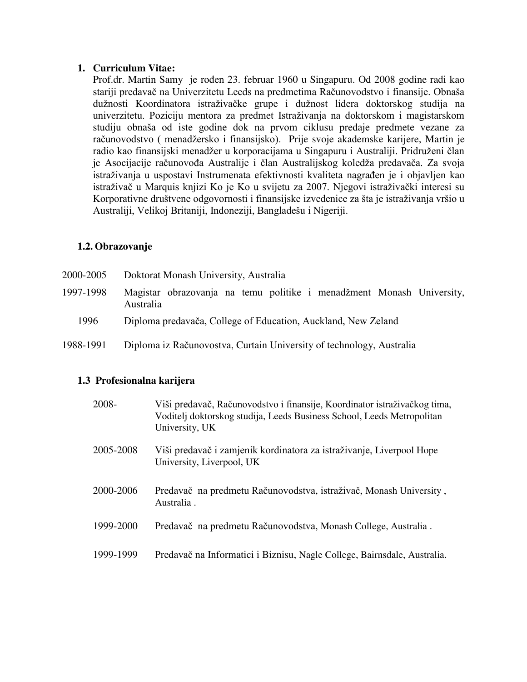#### **1. Curriculum Vitae:**

Prof.dr. Martin Samy je rođen 23. februar 1960 u Singapuru. Od 2008 godine radi kao stariji predavač na Univerzitetu Leeds na predmetima Računovodstvo i finansije. Obnaša dužnosti Koordinatora istraživačke grupe i dužnost lidera doktorskog studija na univerzitetu. Poziciju mentora za predmet Istraživanja na doktorskom i magistarskom studiju obnaša od iste godine dok na prvom ciklusu predaje predmete vezane za računovodstvo ( menadžersko i finansijsko). Prije svoje akademske karijere, Martin je radio kao finansijski menadžer u korporacijama u Singapuru i Australiji. Pridruženi član je Asocijacije računovođa Australije i član Australijskog koledža predavača. Za svoja istraživanja u uspostavi Instrumenata efektivnosti kvaliteta nagrađen je i objavljen kao istraživač u Marquis knjizi Ko je Ko u svijetu za 2007. Njegovi istraživački interesi su Korporativne društvene odgovornosti i finansijske izvedenice za šta je istraživanja vršio u Australiji, Velikoj Britaniji, Indoneziji, Bangladešu i Nigeriji.

## **1.2. Obrazovanje**

| 2000-2005 | Doktorat Monash University, Australia                                              |
|-----------|------------------------------------------------------------------------------------|
| 1997-1998 | Magistar obrazovanja na temu politike i menadžment Monash University,<br>Australia |
| 1996      | Diploma predavača, College of Education, Auckland, New Zeland                      |
| 1988-1991 | Diploma iz Računovostva, Curtain University of technology, Australia               |

## **1.3 Profesionalna karijera**

| 2008-     | Viši predavač, Računovodstvo i finansije, Koordinator istraživačkog tima,<br>Voditelj doktorskog studija, Leeds Business School, Leeds Metropolitan<br>University, UK |
|-----------|-----------------------------------------------------------------------------------------------------------------------------------------------------------------------|
| 2005-2008 | Viši predavač i zamjenik kordinatora za istraživanje, Liverpool Hope<br>University, Liverpool, UK                                                                     |
| 2000-2006 | Predavač na predmetu Računovodstva, istraživač, Monash University,<br>Australia.                                                                                      |
| 1999-2000 | Predavač na predmetu Računovodstva, Monash College, Australia.                                                                                                        |
| 1999-1999 | Predavač na Informatici i Biznisu, Nagle College, Bairnsdale, Australia.                                                                                              |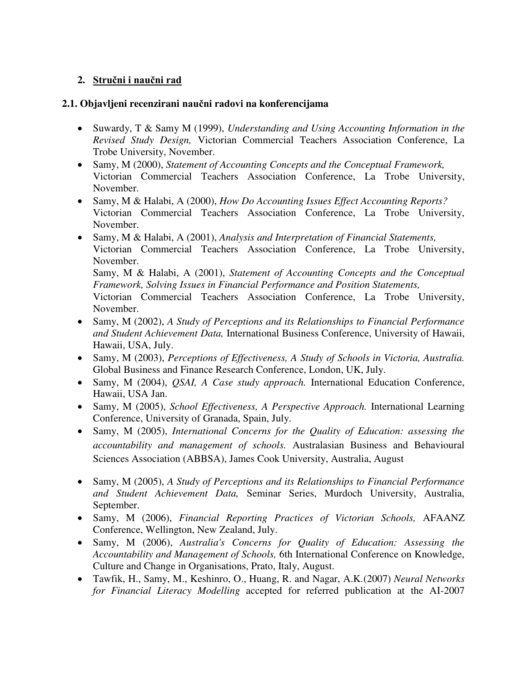# **2. Stručni i naučni rad**

## **2.1. Objavljeni recenzirani naučni radovi na konferencijama**

- Suwardy, T & Samy M (1999), *Understanding and Using Accounting Information in the Revised Study Design,* Victorian Commercial Teachers Association Conference, La Trobe University, November.
- Samy, M (2000), *Statement of Accounting Concepts and the Conceptual Framework,*  Victorian Commercial Teachers Association Conference, La Trobe University, November.
- Samy, M & Halabi, A (2000), *How Do Accounting Issues Effect Accounting Reports?*  Victorian Commercial Teachers Association Conference, La Trobe University, November.
- Samy, M & Halabi, A (2001), *Analysis and Interpretation of Financial Statements,*  Victorian Commercial Teachers Association Conference, La Trobe University, November. Samy, M & Halabi, A (2001), *Statement of Accounting Concepts and the Conceptual Framework, Solving Issues in Financial Performance and Position Statements,*  Victorian Commercial Teachers Association Conference, La Trobe University, November.
- Samy, M (2002), *A Study of Perceptions and its Relationships to Financial Performance and Student Achievement Data,* International Business Conference, University of Hawaii, Hawaii, USA, July.
- Samy, M (2003), *Perceptions of Effectiveness, A Study of Schools in Victoria, Australia.*  Global Business and Finance Research Conference, London, UK, July.
- Samy, M (2004), *QSAI, A Case study approach.* International Education Conference, Hawaii, USA Jan.
- Samy, M (2005), *School Effectiveness, A Perspective Approach.* International Learning Conference, University of Granada, Spain, July.
- Samy, M (2005), *International Concerns for the Quality of Education: assessing the accountability and management of schools.* Australasian Business and Behavioural Sciences Association (ABBSA), James Cook University, Australia, August
- Samy, M (2005), *A Study of Perceptions and its Relationships to Financial Performance and Student Achievement Data,* Seminar Series, Murdoch University, Australia, September.
- Samy, M (2006), *Financial Reporting Practices of Victorian Schools,* AFAANZ Conference, Wellington, New Zealand, July.
- Samy, M (2006), *Australia's Concerns for Quality of Education: Assessing the Accountability and Management of Schools,* 6th International Conference on Knowledge, Culture and Change in Organisations, Prato, Italy, August.
- Tawfik, H., Samy, M., Keshinro, O., Huang, R. and Nagar, A.K*.*(2007) *Neural Networks for Financial Literacy Modelling* accepted for referred publication at the AI-2007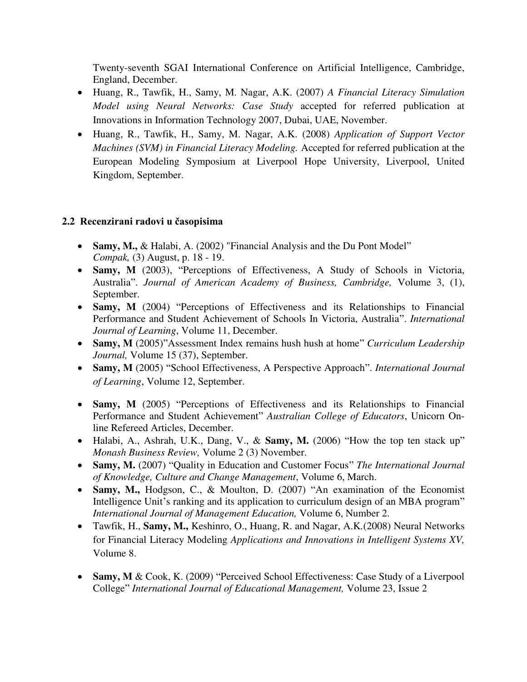Twenty-seventh SGAI International Conference on Artificial Intelligence, Cambridge, England, December.

- Huang, R., Tawfik, H., Samy, M. Nagar, A.K. (2007) *A Financial Literacy Simulation Model using Neural Networks: Case Study* accepted for referred publication at Innovations in Information Technology 2007, Dubai, UAE, November.
- Huang, R., Tawfik, H., Samy, M. Nagar, A.K. (2008) *Application of Support Vector Machines (SVM) in Financial Literacy Modeling.* Accepted for referred publication at the European Modeling Symposium at Liverpool Hope University, Liverpool, United Kingdom, September.

## **2.2 Recenzirani radovi u časopisima**

- Samy, M., & Halabi, A. (2002) "Financial Analysis and the Du Pont Model" *Compak,* (3) August, p. 18 - 19.
- **Samy, M** (2003), "Perceptions of Effectiveness, A Study of Schools in Victoria, Australia". *Journal of American Academy of Business, Cambridge,* Volume 3, (1), September.
- **Samy, M** (2004) "Perceptions of Effectiveness and its Relationships to Financial Performance and Student Achievement of Schools In Victoria, Australia". *International Journal of Learning*, Volume 11, December.
- **Samy, M** (2005)"Assessment Index remains hush hush at home" *Curriculum Leadership Journal,* Volume 15 (37), September.
- **Samy, M** (2005) "School Effectiveness, A Perspective Approach". *International Journal of Learning*, Volume 12, September.
- **Samy, M** (2005) "Perceptions of Effectiveness and its Relationships to Financial Performance and Student Achievement" *Australian College of Educators*, Unicorn Online Refereed Articles, December.
- Halabi, A., Ashrah, U.K., Dang, V., & **Samy, M.** (2006) "How the top ten stack up" *Monash Business Review,* Volume 2 (3) November.
- **Samy, M.** (2007) "Quality in Education and Customer Focus" *The International Journal of Knowledge, Culture and Change Management*, Volume 6, March.
- **Samy, M.,** Hodgson, C., & Moulton, D. (2007) "An examination of the Economist Intelligence Unit's ranking and its application to curriculum design of an MBA program" *International Journal of Management Education,* Volume 6, Number 2.
- Tawfik, H., **Samy, M.,** Keshinro, O., Huang, R. and Nagar, A.K*.*(2008) Neural Networks for Financial Literacy Modeling *Applications and Innovations in Intelligent Systems XV,*  Volume 8.
- **Samy, M** & Cook, K. (2009) "Perceived School Effectiveness: Case Study of a Liverpool College" *International Journal of Educational Management,* Volume 23, Issue 2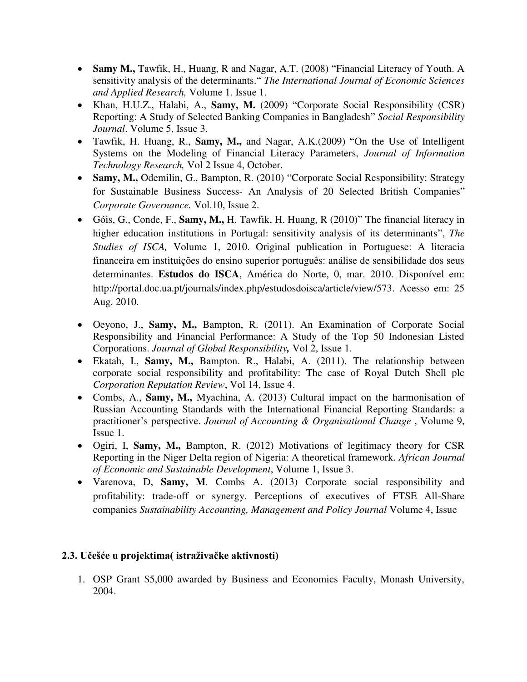- Samy M., Tawfik, H., Huang, R and Nagar, A.T. (2008) "Financial Literacy of Youth. A sensitivity analysis of the determinants." *The International Journal of Economic Sciences and Applied Research,* Volume 1. Issue 1.
- Khan, H.U.Z., Halabi, A., **Samy, M.** (2009) "Corporate Social Responsibility (CSR) Reporting: A Study of Selected Banking Companies in Bangladesh" *Social Responsibility Journal*. Volume 5, Issue 3.
- Tawfik, H. Huang, R., **Samy, M.,** and Nagar, A.K.(2009) "On the Use of Intelligent Systems on the Modeling of Financial Literacy Parameters, *Journal of Information Technology Research,* Vol 2 Issue 4, October.
- **Samy, M.,** Odemilin, G., Bampton, R. (2010) "Corporate Social Responsibility: Strategy for Sustainable Business Success- An Analysis of 20 Selected British Companies" *Corporate Governance.* Vol.10, Issue 2.
- Góis, G., Conde, F., **Samy, M.,** H. Tawfik, H. Huang, R (2010)" The financial literacy in higher education institutions in Portugal: sensitivity analysis of its determinants", *The Studies of ISCA,* Volume 1, 2010. Original publication in Portuguese: A literacia financeira em instituições do ensino superior português: análise de sensibilidade dos seus determinantes. **Estudos do ISCA**, América do Norte, 0, mar. 2010. Disponível em: http://portal.doc.ua.pt/journals/index.php/estudosdoisca/article/view/573. Acesso em: 25 Aug. 2010.
- Oeyono, J., **Samy, M.,** Bampton, R. (2011). An Examination of Corporate Social Responsibility and Financial Performance: A Study of the Top 50 Indonesian Listed Corporations. *Journal of Global Responsibility,* Vol 2, Issue 1.
- Ekatah, I., **Samy, M.,** Bampton. R., Halabi, A. (2011). The relationship between corporate social responsibility and profitability: The case of Royal Dutch Shell plc *Corporation Reputation Review*, Vol 14, Issue 4.
- Combs, A., **Samy, M.,** Myachina, A. (2013) Cultural impact on the harmonisation of Russian Accounting Standards with the International Financial Reporting Standards: a practitioner's perspective. *Journal of Accounting & Organisational Change* , Volume 9, Issue 1.
- Ogiri, I, **Samy, M.,** Bampton, R. (2012) Motivations of legitimacy theory for CSR Reporting in the Niger Delta region of Nigeria: A theoretical framework. *African Journal of Economic and Sustainable Development*, Volume 1, Issue 3.
- Varenova, D, **Samy, M**. Combs A. (2013) Corporate social responsibility and profitability: trade-off or synergy. Perceptions of executives of FTSE All-Share companies *Sustainability Accounting, Management and Policy Journal* Volume 4, Issue

## **2.3. Učešće u projektima( istraživačke aktivnosti)**

1. OSP Grant \$5,000 awarded by Business and Economics Faculty, Monash University, 2004.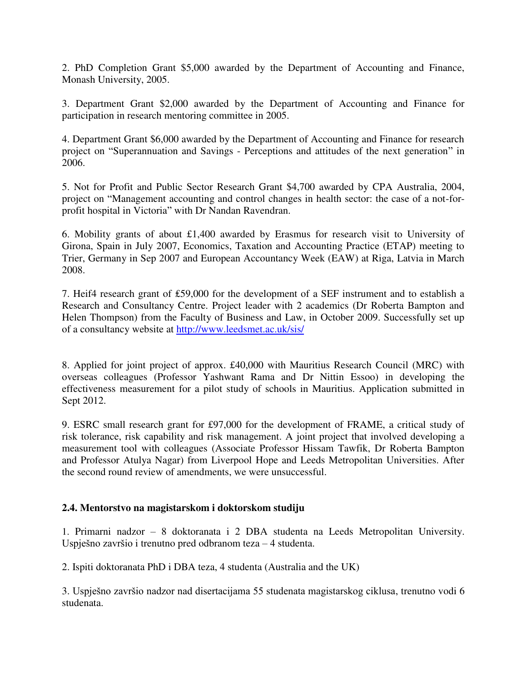2. PhD Completion Grant \$5,000 awarded by the Department of Accounting and Finance, Monash University, 2005.

3. Department Grant \$2,000 awarded by the Department of Accounting and Finance for participation in research mentoring committee in 2005.

4. Department Grant \$6,000 awarded by the Department of Accounting and Finance for research project on "Superannuation and Savings - Perceptions and attitudes of the next generation" in 2006.

5. Not for Profit and Public Sector Research Grant \$4,700 awarded by CPA Australia, 2004, project on "Management accounting and control changes in health sector: the case of a not-forprofit hospital in Victoria" with Dr Nandan Ravendran.

6. Mobility grants of about £1,400 awarded by Erasmus for research visit to University of Girona, Spain in July 2007, Economics, Taxation and Accounting Practice (ETAP) meeting to Trier, Germany in Sep 2007 and European Accountancy Week (EAW) at Riga, Latvia in March 2008.

7. Heif4 research grant of ₤59,000 for the development of a SEF instrument and to establish a Research and Consultancy Centre. Project leader with 2 academics (Dr Roberta Bampton and Helen Thompson) from the Faculty of Business and Law, in October 2009. Successfully set up of a consultancy website at<http://www.leedsmet.ac.uk/sis/>

8. Applied for joint project of approx. £40,000 with Mauritius Research Council (MRC) with overseas colleagues (Professor Yashwant Rama and Dr Nittin Essoo) in developing the effectiveness measurement for a pilot study of schools in Mauritius. Application submitted in Sept 2012.

9. ESRC small research grant for £97,000 for the development of FRAME, a critical study of risk tolerance, risk capability and risk management. A joint project that involved developing a measurement tool with colleagues (Associate Professor Hissam Tawfik, Dr Roberta Bampton and Professor Atulya Nagar) from Liverpool Hope and Leeds Metropolitan Universities. After the second round review of amendments, we were unsuccessful.

## **2.4. Mentorstvo na magistarskom i doktorskom studiju**

1. Primarni nadzor – 8 doktoranata i 2 DBA studenta na Leeds Metropolitan University. Uspješno završio i trenutno pred odbranom teza – 4 studenta.

2. Ispiti doktoranata PhD i DBA teza, 4 studenta (Australia and the UK)

3. Uspješno završio nadzor nad disertacijama 55 studenata magistarskog ciklusa, trenutno vodi 6 studenata.